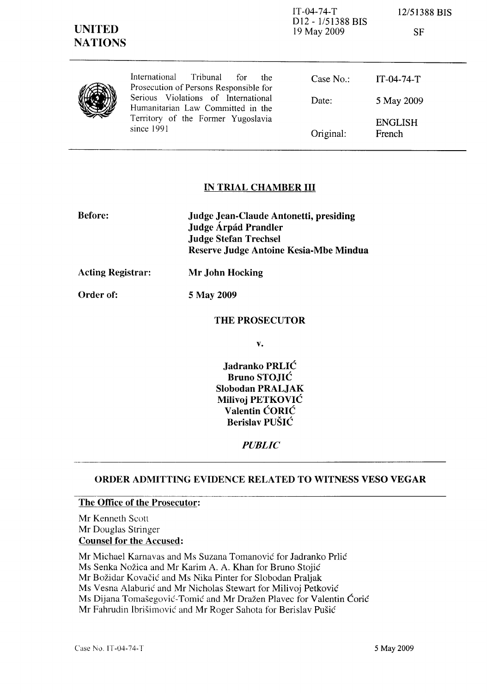| <b>UNITED</b><br><b>NATIONS</b> |                                                                                    | $IT-04-74-T$<br>D <sub>12</sub> - 1/51388 BIS<br>19 May 2009 | 12/51388 BIS<br>SF       |
|---------------------------------|------------------------------------------------------------------------------------|--------------------------------------------------------------|--------------------------|
|                                 | International<br>Tribunal<br>for<br>the.<br>Prosecution of Persons Responsible for | Case $No.$ :                                                 | $IT-04-74-T$             |
|                                 | Serious Violations of International<br>Humanitarian Law Committed in the           | Date:                                                        | 5 May 2009               |
|                                 | Territory of the Former Yugoslavia<br>since 1991                                   | Original:                                                    | <b>ENGLISH</b><br>French |

## IN TRIAL CHAMBER III

| <b>Before:</b> | Judge Jean-Claude Antonetti, presiding |
|----------------|----------------------------------------|
|                | Judge Árpád Prandler                   |
|                | <b>Judge Stefan Trechsel</b>           |
|                | Reserve Judge Antoine Kesia-Mbe Mindua |

Acting Registrar: Mr John Hocking

Order of: 5 May 2009

#### THE PROSECUTOR

v.

Jadranko PRLIĆ Bruno STOJIĆ Slobodan PRALJAK Milivoj PETKOVIĆ Valentin ĆORIĆ Berislav PUŠIĆ

#### *PUBLIC*

## ORDER ADMITTING EVIDENCE RELATED TO WITNESS VESO VEGAR

#### The Office of the Prosecutor:

Mr Kenneth Scott Mr Douglas Stringer Counsel for the Accused:

Mr Michael Karnavas and Ms Suzana Tomanović for Jadranko Prlić

Ms Senka Nožica and Mr Karim A. A. Khan for Bruno Stojić

Mr Božidar Kovačić and Ms Nika Pinter for Slobodan Praljak

Ms Vesna Alaburić and Mr Nicholas Stewart for Milivoj Petković

Ms Dijana Tomašegović- Tomić and Mr Dražen Plavec for Valentin Ćorić

Mr Fahrudin Ibrišimović and Mr Roger Sahota for Berislav Pušić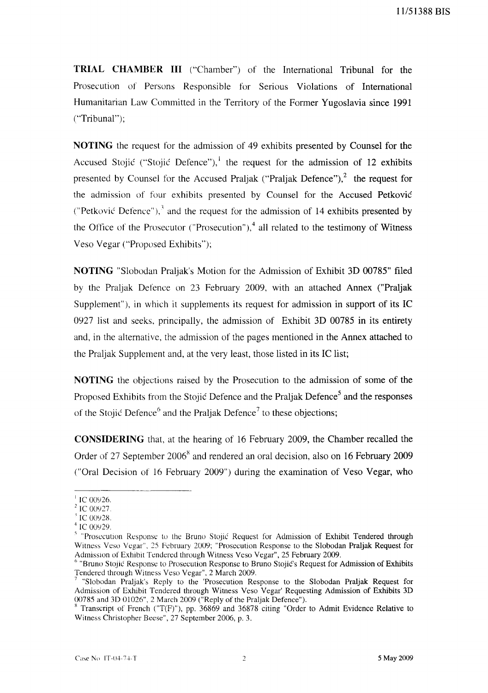**TRIAL CHAMBER III** ("Chamber") of the International Tribunal for the Prosecution of Persons Responsible for Serious Violations of International Humanitarian Law Committed in the Territory of the Former Yugoslavia since 1991 ("Tribunal");

**NOTING** the request for the admission of 49 exhibits presented by Counsel for the Accused Stojić ("Stojić Defence"), <sup>1</sup> the request for the admission of 12 exhibits presented by Counsel for the Accused Praljak ("Praljak Defence"), $2$  the request for the admission of four exhibits presented by Counsel for the Accused Petković ("Petković Defence"), $3$  and the request for the admission of 14 exhibits presented by the Office of the Prosecutor ("Prosecution"), $4$  all related to the testimony of Witness Veso Vegar ("Proposed Exhibits");

**NOTING** "Slobodan Praljak's Motion for the Admission of Exhibit 3D 00785" filed by the Praljak Defence on 23 February 2009, with an attached Annex ("Praljak Supplement"), in which it supplements its request for admission in support of its IC 0927 list and seeks, principally, the admission of Exhibit 3D 00785 in its entirety and, in the alternative, the admission of the pages mentioned in the Annex attached to the Praljak Supplement and, at the very least, those listed in its IC list;

**NOTING** the objections raised by the Prosecution to the admission of some of the Proposed Exhibits from the Stojić Defence and the Praljak Defence<sup>5</sup> and the responses of the Stojić Defence<sup>6</sup> and the Praljak Defence<sup>7</sup> to these objections;

**CONSIDERING** that, at the hearing of 16 February 2009, the Chamber recalled the Order of 27 September 2006<sup>8</sup> and rendered an oral decision, also on 16 February 2009 ("Oral Decision of 16 February 2009") during the examination of Veso Vegar, who

 $\pm$ IC 00926.

 $^{2}$  IC 00927.

 $\mathrm{IC}$  00928.

 $4^4$  IC 00929.

<sup>&</sup>lt;sup>5</sup> "Prosecution Response to the Bruno Stojić Request for Admission of Exhibit Tendered through Witness Veso Vegar", 25 February 2009; "Prosecution Response to the Slobodan Praljak Request for Admission of Exhibit Tendered through Witness Veso Vegar", 25 February 2009.

<sup>&</sup>lt;sup>o</sup> "Bruno Stojić Response to Prosecution Response to Bruno Stojić's Request for Admission of Exhibits Tendered through Witness Veso Vegar", 2 March 2009.

<sup>7</sup>"Slobodan Praljak's Rcply to the 'Prosecution Response to the Slobodan Praljak Request for Admission of Exhibit Tendered through Witness Veso Vegar' Requesting Admission of Exhibits 3D 00785 and 3D 01026", 2 March 2009 ("Reply of the Praljak Defence").

 $8$  Transcript of French ("T(F)"), pp. 36869 and 36878 citing "Order to Admit Evidence Relative to Witness Christopher Beese", 27 September 2006, p. 3.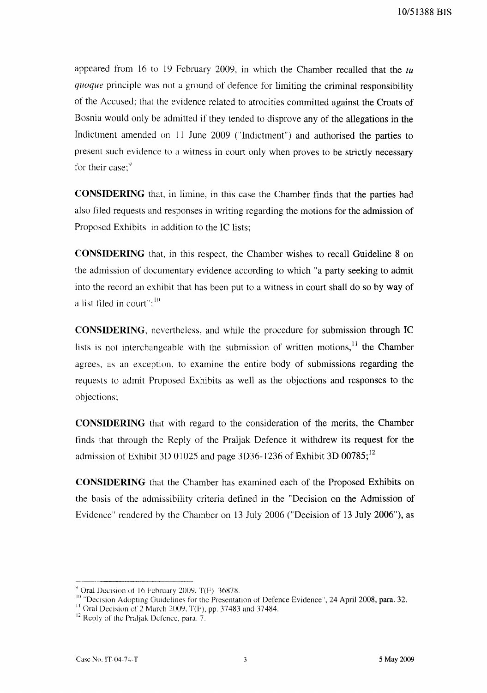appeared from 16 to 19 February 2009, in which the Chamber recalled that the *tu quoque* principle was not a ground of defence for limiting the criminal responsibility of the Accused; that the evidence related to atrocities committed against the Croats of Bosnia would only be admitted if they tended to disprove any of the allegations in the Indictment amended on II June 2009 ("Indictment") and authorised the parties to present such evidence to a witness in court only when proves to be strictly necessary for their case: $9$ 

**CONSIDERING** that, in limine, in this case the Chamber finds that the parties had also filed requests and responses in writing regarding the motions for the admission of Proposed Exhibits in addition to the IC lists;

**CONSIDERING** that, in this respect, the Chamber wishes to recall Guideline 8 on the admission of documentary evidence according to which "a party seeking to admit into the record an exhibit that has been put to a witness in court shall do so by way of a list filed in court":  $10$ 

**CONSIDERING,** nevertheless, and while the procedure for submission through IC lists is not interchangeable with the submission of written motions,  $\frac{11}{11}$  the Chamber agrees, as an exception, to examine the entire body of submissions regarding the requests to admit Proposed Exhibits as well as the objections and responses to the objections;

**CONSIDERING** that with regard to the consideration of the merits, the Chamber finds that through the Reply of the Praljak Defence it withdrew its request for the admission of Exhibit 3D 01025 and page 3D36-1236 of Exhibit 3D 00785;<sup>12</sup>

**CONSIDERING** that the Chamber has examined each of the Proposed Exhibits on the basis of the admissibility criteria defined in the "Decision on the Admission of Evidence" rendered by the Chamber on 13 July 2006 ("Decision of 13 July 2006"), as

 $\degree$  Oral Decision of 16 February 2009, T(F) 36878.

III "Decision Adopting Guidelines for the Presentation of Defence Evidence", 24 April 2008, para. 32.

<sup>&</sup>lt;sup>11</sup> Oral Decision of 2 March 2009, T(F), pp. 37483 and 37484.

 $12$  Reply of the Praljak Defence, para. 7.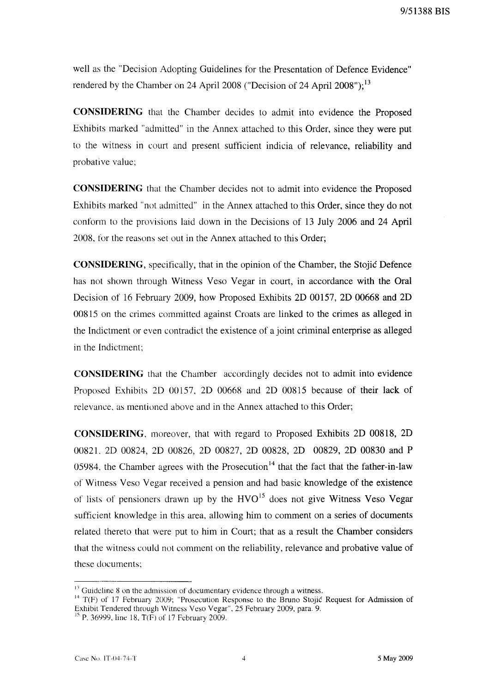well as the "Decision Adopting Guidelines for the Presentation of Defence Evidence" rendered by the Chamber on 24 April 2008 ("Decision of 24 April 2008");  $^{13}$ 

**CONSIDERING** that the Chamber decides to admit into evidence the Proposed Exhibits marked "admitted" in the Annex attached to this Order, since they were put to the witness in court and present sufficient indicia of relevance, reliability and probative value;

**CONSIDERING** that the Chamber decides not to admit into evidence the Proposed Exhibits marked "not admitted" in the Annex attached to this Order, since they do not conform to the provisions laid down in the Decisions of 13 July 2006 and 24 April 2008, for the reasons set out in the Annex attached to this Order;

**CONSIDERING,** specifically, that in the opinion of the Chamber, the Stojić Defence has not shown through Witness Veso Vegar in court, in accordance with the Oral Decision of 16 February 2009, how Proposed Exhibits 2D 00157, 2D 00668 and 2D 00815 on the crimes committed against Croats are linked to the crimes as alleged in the Indictment or even contradict the existence of a joint criminal enterprise as alleged in the Indictment;

**CONSIDERING** that the Chamber accordingly decides not to admit into evidence Proposed Exhibits 2D 00157, 2D 00668 and 2D 00815 because of their lack of relevance, as mentioned above and in the Annex attached to this Order;

**CONSIDERING,** moreover, that with regard to Proposed Exhibits 2D 00818, 2D 00821. 2D 00824, 2D 00826, 2D 00827, 2D 00828, 2D 00829, 2D 00830 and P 05984, the Chamber agrees with the Prosecution<sup> $14$ </sup> that the fact that the father-in-law of Witness Veso Vegar received a pension and had basic knowledge of the existence of lists of pensioners drawn up by the  $HVO<sup>15</sup>$  does not give Witness Veso Vegar sufficient knowledge in this area, allowing him to comment on a series of documents related thereto that were put to him in Court; that as a result the Chamber considers that the witness could not comment on the reliability, relevance and probative value of these documents;

 $<sup>13</sup>$  Guideline 8 on the admission of documentary evidence through a witness.</sup>

<sup>&</sup>lt;sup>14</sup> T(F) of 17 February 2009; "Prosecution Response to the Bruno Stojić Request for Admission of Exhibit Tendered through Witness Veso Vegar", 25 February 2009, para. 9.

 $\frac{15}{12}$  P. 36999, line 18, T(F) of 17 February 2009.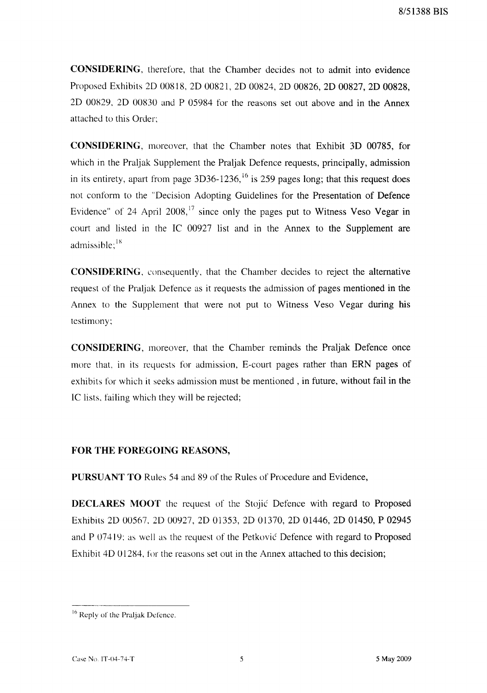**CONSIDERING**, therefore, that the Chamber decides not to admit into evidence Proposed Exhibits 20 00818,2000821,2000824, 2D 00826, 2D 00827, 2D 00828, 2D 00829, 2D 00830 and P 05984 for the reasons set out above and in the Annex attached to this Order;

**CONSIDERING,** moreover, that the Chamber notes that Exhibit 3D 00785, for which in the Praljak Supplement the Praljak Defence requests, principally, admission in its entirety, apart from page  $3D36-1236$ ,  $^{16}$  is 259 pages long; that this request does not conform to the "Decision Adopting Guidelines for the Presentation of Defence Evidence" of 24 April 2008,<sup>17</sup> since only the pages put to Witness Veso Vegar in court and listed in the IC 00927 list and in the Annex to the Supplement are admissible; $^{18}$ 

**CONSIDERING,** consequently, that the Chamber decides to reject the alternative request of the Praljak Defence as it requests the admission of pages mentioned in the Annex to the Supplement that were not put to Witness Veso Vegar during his testimony;

**CONSIDERING,** moreover, that the Chamber reminds the Praljak Defence once more that, in its requests for admission, E-court pages rather than ERN pages of exhibits for which it seeks admission must be mentioned, in future, without fail in the IC lists, failing which they will be rejected;

### **FOR THE FOREGOING REASONS,**

**PURSUANT TO** Rules 54 and 89 of the Rules of Procedure and Evidence,

**DECLARES MOOT** the request of the Stojić Defence with regard to Proposed Exhibits 20 00567, 2000927, 2D 01353, 2001370, 2D 01446, 2D 01450, P 02945 and P 07419: as well as the request of the Petković Defence with regard to Proposed Exhibit 4D 01284, for the reasons set out in the Annex attached to this decision;

<sup>&</sup>lt;sup>16</sup> Reply of the Praljak Defence.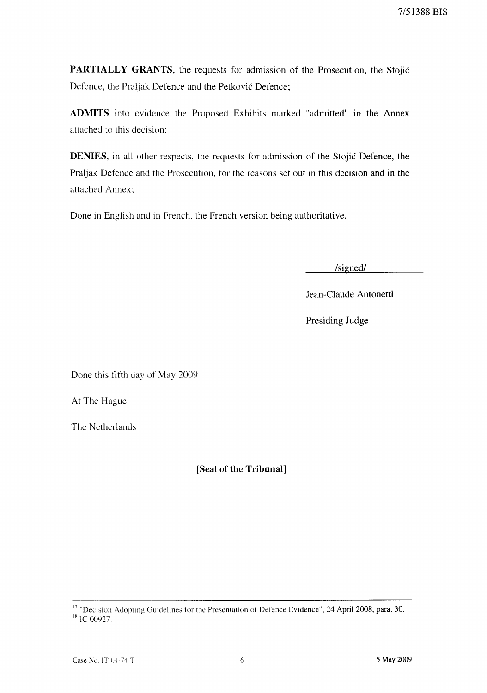7/51388 **BIS** 

**PARTIALLY GRANTS,** the requests for admission of the Prosecution, the Stojić Defence, the Praljak Defence and the Petković Defence;

**ADMITS** into evidence the Proposed Exhibits marked "admitted" in the Annex attached to this decision;

**DENIES,** in all other respects, the requests for admission of the Stojić Defence, the Praljak Defence and the Prosecution, for the reasons set out in this decision and **in** the attached Annex;

Done in English and in French, the French version being authoritative.

/signed/

Jean-Claude Antonetti

Presiding Judge

Done this fifth day of May 2009

At The Hague

The Netherlands

**[Seal of the Tribunal]** 

<sup>17</sup> "Decision Adopting Guidelines for the Presentation of Defence Evidence", 24 April 2008, para. 30.

 $18$  IC 00927.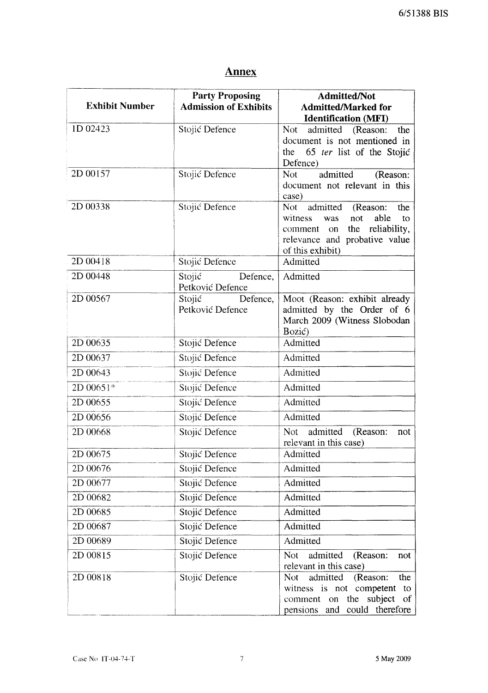# **Annex**

| <b>Exhibit Number</b> | <b>Party Proposing</b><br><b>Admission of Exhibits</b> | <b>Admitted/Not</b><br><b>Admitted/Marked for</b><br><b>Identification (MFI)</b>                                                                                        |
|-----------------------|--------------------------------------------------------|-------------------------------------------------------------------------------------------------------------------------------------------------------------------------|
| 1D 02423              | Stojić Defence                                         | Not<br>admitted (Reason:<br>the<br>document is not mentioned in<br>65 ter list of the Stojić<br>the<br>Defence)                                                         |
| 2D 00157              | Stojić Defence                                         | Not<br>admitted<br>(Reason:<br>document not relevant in this<br>case)                                                                                                   |
| 2D 00338              | Stojić Defence                                         | admitted (Reason:<br><b>Not</b><br>the<br>witness<br>able<br>not<br>was<br>to<br>the reliability,<br>on<br>comment<br>relevance and probative value<br>of this exhibit) |
| 2D 00418              | Stojić Defence                                         | Admitted                                                                                                                                                                |
| 2D 00448              | Stojić<br>Defence,<br>Petković Defence                 | Admitted                                                                                                                                                                |
| 2D 00567              | Stojić<br>Defence,<br>Petković Defence                 | Moot (Reason: exhibit already<br>admitted by the Order of 6<br>March 2009 (Witness Slobodan<br>Bozić)                                                                   |
| 2D 00635              | Stojić Defence                                         | Admitted                                                                                                                                                                |
| 2D 00637              | Stojić Defence                                         | Admitted                                                                                                                                                                |
| 2D 00643              | Stojić Defence                                         | Admitted                                                                                                                                                                |
| 2D 00651*             | Stojić Defence                                         | Admitted                                                                                                                                                                |
| 2D 00655              | Stojić Defence                                         | Admitted                                                                                                                                                                |
| 2D 00656              | Stojić Defence                                         | Admitted                                                                                                                                                                |
| 2D 00668              | Stojić Defence                                         | admitted<br>Not<br>(Reason:<br>not<br>relevant in this case)                                                                                                            |
| 2D 00675              | Stojić Defence                                         | Admitted                                                                                                                                                                |
| 2D 00676              | Stojić Defence                                         | Admitted                                                                                                                                                                |
| 2D 00677              | Stojić Defence                                         | Admitted                                                                                                                                                                |
| 2D 00682              | Stojić Defence                                         | Admitted                                                                                                                                                                |
| 2D 00685              | Stojić Defence                                         | Admitted                                                                                                                                                                |
| 2D 00687              | Stojić Defence                                         | Admitted                                                                                                                                                                |
| 2D 00689              | Stojić Defence                                         | Admitted                                                                                                                                                                |
| 2D 00815              | Stojić Defence                                         | <b>Not</b><br>admitted<br>(Reason:<br>not<br>relevant in this case)                                                                                                     |
| 2D 00818              | Stojić Defence                                         | admitted<br>the<br>Not.<br>(Reason:<br>witness is not competent<br>to<br>subject of<br>the<br>comment on<br>pensions and could therefore                                |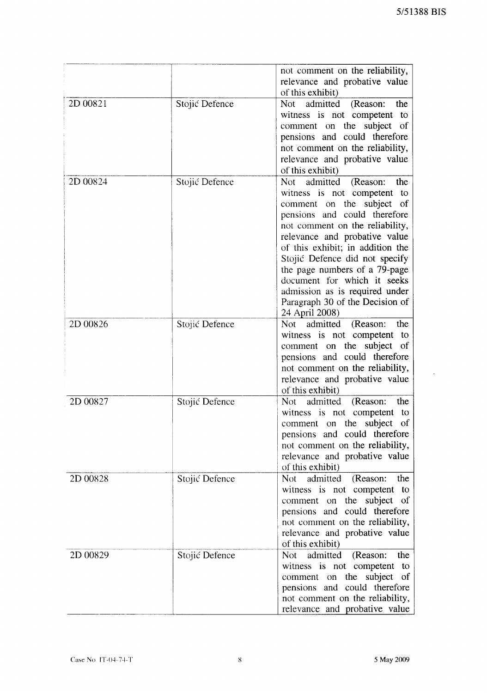$\bar{\mathcal{A}}$ 

|          |                | not comment on the reliability,<br>relevance and probative value                                                                                                                                                                                                                                                                                                                                                                |
|----------|----------------|---------------------------------------------------------------------------------------------------------------------------------------------------------------------------------------------------------------------------------------------------------------------------------------------------------------------------------------------------------------------------------------------------------------------------------|
|          |                | of this exhibit)                                                                                                                                                                                                                                                                                                                                                                                                                |
| 2D 00821 | Stojić Defence | admitted (Reason:<br>Not<br>the<br>witness is not competent to<br>comment on the subject of<br>pensions and could therefore<br>not comment on the reliability,<br>relevance and probative value<br>of this exhibit)                                                                                                                                                                                                             |
| 2D 00824 | Stojić Defence | admitted<br>the<br>Not<br>(Reason:<br>witness is not competent to<br>comment on the subject of<br>pensions and could therefore<br>not comment on the reliability,<br>relevance and probative value<br>of this exhibit; in addition the<br>Stojić Defence did not specify<br>the page numbers of a 79-page<br>document for which it seeks<br>admission as is required under<br>Paragraph 30 of the Decision of<br>24 April 2008) |
| 2D 00826 | Stojić Defence | admitted<br>Not<br>(Reason:<br>the<br>witness is not competent<br>to<br>comment on the subject<br>- of<br>pensions and could therefore<br>not comment on the reliability,<br>relevance and probative value<br>of this exhibit)                                                                                                                                                                                                  |
| 2D 00827 | Stojić Defence | admitted<br>the<br>Not<br>(Reason:<br>witness is not competent<br>to<br>comment on the subject of<br>pensions and could therefore<br>not comment on the reliability,<br>relevance and probative value<br>of this exhibit)                                                                                                                                                                                                       |
| 2D 00828 | Stojić Defence | Not admitted<br>(Reason:<br>the<br>witness is not competent<br>to<br>comment on the subject of<br>pensions and could therefore<br>not comment on the reliability,<br>relevance and probative value<br>of this exhibit)                                                                                                                                                                                                          |
| 2D 00829 | Stojić Defence | admitted<br>(Reason:<br>Not<br>the<br>witness is not competent<br>to<br>comment on the subject<br><sub>of</sub><br>pensions and could therefore<br>not comment on the reliability,<br>relevance and probative value                                                                                                                                                                                                             |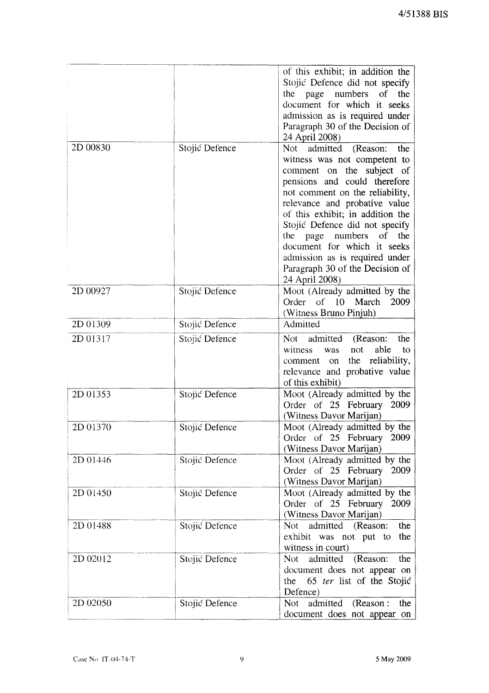|          |                | of this exhibit; in addition the<br>Stojić Defence did not specify<br>the page numbers<br><sub>of</sub><br>the<br>document for which it seeks<br>admission as is required under<br>Paragraph 30 of the Decision of<br>24 April 2008)                                                                                                                                                                                                |
|----------|----------------|-------------------------------------------------------------------------------------------------------------------------------------------------------------------------------------------------------------------------------------------------------------------------------------------------------------------------------------------------------------------------------------------------------------------------------------|
| 2D 00830 | Stojić Defence | Not<br>admitted<br>(Reason:<br>the<br>witness was not competent to<br>comment on the subject of<br>pensions and could therefore<br>not comment on the reliability,<br>relevance and probative value<br>of this exhibit; in addition the<br>Stojić Defence did not specify<br>the page<br>numbers<br>of<br>the<br>document for which it seeks<br>admission as is required under<br>Paragraph 30 of the Decision of<br>24 April 2008) |
| 2D 00927 | Stojić Defence | Moot (Already admitted by the<br>Order of 10 March<br>2009<br>(Witness Bruno Pinjuh)                                                                                                                                                                                                                                                                                                                                                |
| 2D 01309 | Stojić Defence | Admitted                                                                                                                                                                                                                                                                                                                                                                                                                            |
| 2D 01317 | Stojić Defence | admitted<br>(Reason:<br>Not –<br>the<br>witness<br>able<br>not<br>was<br>to<br>the reliability,<br>comment<br>on<br>relevance and probative value<br>of this exhibit)                                                                                                                                                                                                                                                               |
| 2D 01353 | Stojić Defence | Moot (Already admitted by the<br>Order of 25 February 2009<br>(Witness Davor Marijan)                                                                                                                                                                                                                                                                                                                                               |
| 2D 01370 | Stojić Defence | Moot (Already admitted by the<br>Order of 25 February 2009<br>(Witness Davor Marijan)                                                                                                                                                                                                                                                                                                                                               |
| 2D 01446 | Stojić Defence | Moot (Already admitted by the<br>Order of 25 February 2009<br>(Witness Davor Marijan)                                                                                                                                                                                                                                                                                                                                               |
| 2D 01450 | Stojić Defence | Moot (Already admitted by the<br>Order of 25 February<br>2009<br>(Witness Davor Marijan)                                                                                                                                                                                                                                                                                                                                            |
| 2D 01488 | Stojić Defence | Not admitted (Reason:<br>the<br>exhibit was not put to<br>the<br>witness in court)                                                                                                                                                                                                                                                                                                                                                  |
| 2D 02012 | Stojić Defence | admitted (Reason:<br>Not<br>the<br>document does not appear on<br>the 65 ter list of the Stojić<br>Defence)                                                                                                                                                                                                                                                                                                                         |
| 2D 02050 | Stojić Defence | Not admitted<br>(Reason:<br>the<br>document does not appear on                                                                                                                                                                                                                                                                                                                                                                      |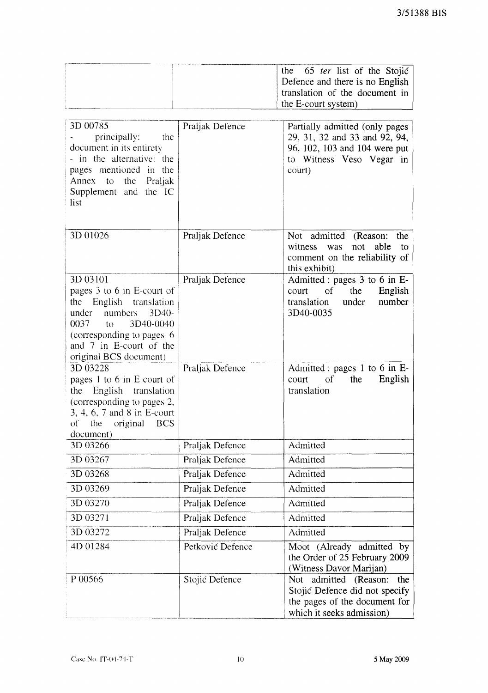| the 65 ter list of the Stojić   |  |
|---------------------------------|--|
| Defence and there is no English |  |
| translation of the document in  |  |
| the E-court system)             |  |

| 3D 00785<br>principally:<br>the<br>document in its entirety<br>- in the alternative: the<br>pages mentioned in the<br>Annex to the Praljak<br>Supplement and the IC<br>list                                                                | Praljak Defence  | Partially admitted (only pages<br>29, 31, 32 and 33 and 92, 94,<br>96, 102, 103 and 104 were put<br>to Witness Veso Vegar in<br>court) |
|--------------------------------------------------------------------------------------------------------------------------------------------------------------------------------------------------------------------------------------------|------------------|----------------------------------------------------------------------------------------------------------------------------------------|
| 3D 01026                                                                                                                                                                                                                                   | Praljak Defence  | Not admitted<br>(Reason:<br>the<br>witness<br>able<br>not<br>was<br>to<br>comment on the reliability of<br>this exhibit)               |
| 3D 03101<br>pages 3 to 6 in E-court of<br>English translation<br>the<br>numbers<br>$3D40-$<br>under<br>3D40-0040<br>0037<br>$\mathfrak{g}_{\mathcal{O}}$<br>(corresponding to pages 6<br>and 7 in E-court of the<br>original BCS document) | Praljak Defence  | Admitted : pages 3 to 6 in E-<br>of<br>the<br>English<br>court<br>number<br>under<br>translation<br>3D40-0035                          |
| 3D 03228<br>pages 1 to 6 in E-court of<br>English translation<br>the<br>(corresponding to pages 2,<br>3, 4, 6, 7 and 8 in E-court<br>the<br>original<br><b>BCS</b><br>оf<br>document)                                                      | Praljak Defence  | Admitted : pages 1 to 6 in E-<br>English<br>of<br>the<br>court<br>translation                                                          |
| 3D 03266                                                                                                                                                                                                                                   | Praljak Defence  | Admitted                                                                                                                               |
| 3D 03267                                                                                                                                                                                                                                   | Praljak Defence  | Admitted                                                                                                                               |
| 3D 03268                                                                                                                                                                                                                                   | Praljak Defence  | Admitted                                                                                                                               |
| 3D 03269                                                                                                                                                                                                                                   | Praljak Defence  | Admitted                                                                                                                               |
| 3D 03270                                                                                                                                                                                                                                   | Praljak Defence  | Admitted                                                                                                                               |
| 3D 03271                                                                                                                                                                                                                                   | Praljak Defence  | Admitted                                                                                                                               |
| 3D 03272                                                                                                                                                                                                                                   | Praljak Defence  | Admitted                                                                                                                               |
| 4D 01284                                                                                                                                                                                                                                   | Petković Defence | Moot (Already admitted by<br>the Order of 25 February 2009<br>(Witness Davor Marijan)                                                  |
| P 00566                                                                                                                                                                                                                                    | Stojić Defence   | Not admitted (Reason:<br>the<br>Stojić Defence did not specify<br>the pages of the document for<br>which it seeks admission)           |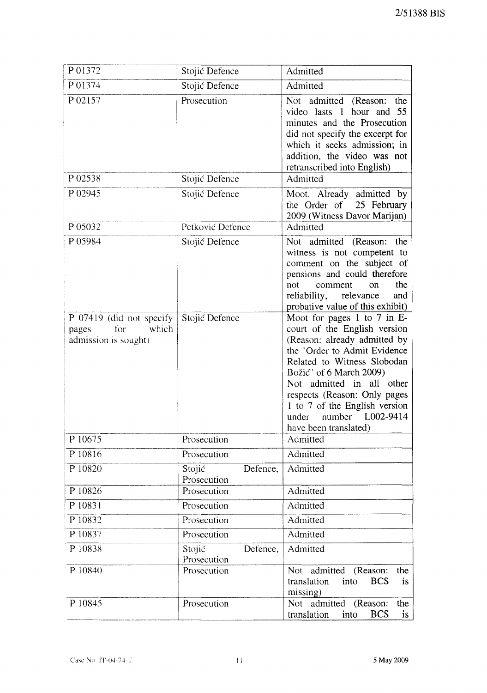| P01372                                                                    | Stojić Defence                    | Admitted                                                                                                                                                                                                                                                                                                                                  |  |  |
|---------------------------------------------------------------------------|-----------------------------------|-------------------------------------------------------------------------------------------------------------------------------------------------------------------------------------------------------------------------------------------------------------------------------------------------------------------------------------------|--|--|
| P 01374                                                                   | Stojić Defence                    | Admitted                                                                                                                                                                                                                                                                                                                                  |  |  |
| P02157                                                                    | Prosecution                       | Not admitted (Reason:<br>the<br>video lasts 1 hour and 55<br>minutes and the Prosecution<br>did not specify the excerpt for<br>which it seeks admission; in<br>addition, the video was not<br>retranscribed into English)                                                                                                                 |  |  |
| P 02538                                                                   | Stojić Defence                    | Admitted                                                                                                                                                                                                                                                                                                                                  |  |  |
| P 02945                                                                   | Stojić Defence                    | Moot. Already admitted by<br>the Order of 25 February<br>2009 (Witness Davor Marijan)                                                                                                                                                                                                                                                     |  |  |
| P 05032                                                                   | Petković Defence                  | Admitted                                                                                                                                                                                                                                                                                                                                  |  |  |
| P 05984                                                                   | Stojić Defence                    | Not admitted (Reason:<br>the<br>witness is not competent to<br>comment on the subject of<br>pensions and could therefore<br>the<br>not<br>comment<br><sub>on</sub><br>reliability,<br>relevance<br>and<br>probative value of this exhibit)                                                                                                |  |  |
| P 07419 (did not specify<br>for<br>which<br>pages<br>admission is sought) | Stojić Defence                    | Moot for pages 1 to 7 in E-<br>court of the English version<br>(Reason: already admitted by<br>the "Order to Admit Evidence<br>Related to Witness Slobodan<br>Božić" of 6 March 2009)<br>Not admitted in all other<br>respects (Reason: Only pages<br>1 to 7 of the English version<br>number L002-9414<br>under<br>have been translated) |  |  |
| P 10675                                                                   | Prosecution                       | Admitted                                                                                                                                                                                                                                                                                                                                  |  |  |
| P 10816                                                                   | Prosecution                       | Admitted                                                                                                                                                                                                                                                                                                                                  |  |  |
| P 10820                                                                   | Stojić<br>Defence,<br>Prosecution | Admitted                                                                                                                                                                                                                                                                                                                                  |  |  |
| P 10826                                                                   | Prosecution                       | Admitted                                                                                                                                                                                                                                                                                                                                  |  |  |
| P 10831                                                                   | Prosecution                       | Admitted                                                                                                                                                                                                                                                                                                                                  |  |  |
| P 10832                                                                   | Prosecution                       | Admitted                                                                                                                                                                                                                                                                                                                                  |  |  |
| P 10837                                                                   | Prosecution                       | Admitted                                                                                                                                                                                                                                                                                                                                  |  |  |
| P 10838                                                                   | Stojić<br>Defence,<br>Prosecution | Admitted                                                                                                                                                                                                                                                                                                                                  |  |  |
| P 10840                                                                   | Prosecution                       | admitted<br>(Reason:<br>the<br>Not.<br>translation<br><b>BCS</b><br>into<br>is<br>missing)                                                                                                                                                                                                                                                |  |  |
| P 10845                                                                   | Prosecution                       | Not admitted<br>the<br>(Reason:<br>translation<br>into<br><b>BCS</b><br>is                                                                                                                                                                                                                                                                |  |  |